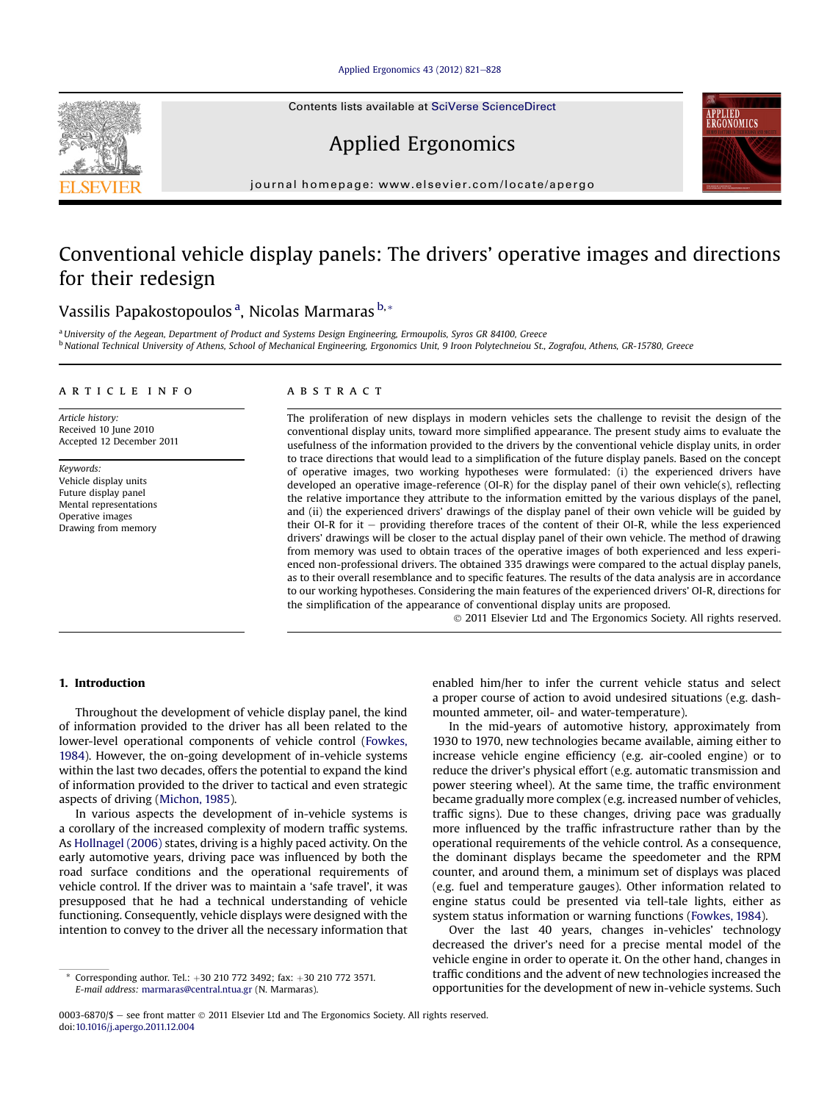#### [Applied Ergonomics 43 \(2012\) 821](http://dx.doi.org/10.1016/j.apergo.2011.12.004)-[828](http://dx.doi.org/10.1016/j.apergo.2011.12.004)

Contents lists available at SciVerse ScienceDirect

# Applied Ergonomics

journal homepage: [www.elsevier.com/locate/apergo](http://www.elsevier.com/locate/apergo)

# Conventional vehicle display panels: The drivers' operative images and directions for their redesign

Vassilis Papakostopoulos <sup>a</sup>, Nicolas Marmaras <sup>b,</sup>\*

<sup>a</sup> University of the Aegean, Department of Product and Systems Design Engineering, Ermoupolis, Syros GR 84100, Greece <sup>b</sup> National Technical University of Athens, School of Mechanical Engineering, Ergonomics Unit, 9 Iroon Polytechneiou St., Zografou, Athens, GR-15780, Greece

#### article info

Article history: Received 10 June 2010 Accepted 12 December 2011

Keywords: Vehicle display units Future display panel Mental representations Operative images Drawing from memory

# ABSTRACT

The proliferation of new displays in modern vehicles sets the challenge to revisit the design of the conventional display units, toward more simplified appearance. The present study aims to evaluate the usefulness of the information provided to the drivers by the conventional vehicle display units, in order to trace directions that would lead to a simplification of the future display panels. Based on the concept of operative images, two working hypotheses were formulated: (i) the experienced drivers have developed an operative image-reference (OI-R) for the display panel of their own vehicle(s), reflecting the relative importance they attribute to the information emitted by the various displays of the panel, and (ii) the experienced drivers' drawings of the display panel of their own vehicle will be guided by their OI-R for it  $-$  providing therefore traces of the content of their OI-R, while the less experienced drivers' drawings will be closer to the actual display panel of their own vehicle. The method of drawing from memory was used to obtain traces of the operative images of both experienced and less experienced non-professional drivers. The obtained 335 drawings were compared to the actual display panels, as to their overall resemblance and to specific features. The results of the data analysis are in accordance to our working hypotheses. Considering the main features of the experienced drivers' OI-R, directions for the simplification of the appearance of conventional display units are proposed.

2011 Elsevier Ltd and The Ergonomics Society. All rights reserved.

## 1. Introduction

Throughout the development of vehicle display panel, the kind of information provided to the driver has all been related to the lower-level operational components of vehicle control ([Fowkes,](#page-7-0) [1984\)](#page-7-0). However, the on-going development of in-vehicle systems within the last two decades, offers the potential to expand the kind of information provided to the driver to tactical and even strategic aspects of driving ([Michon, 1985\)](#page-7-0).

In various aspects the development of in-vehicle systems is a corollary of the increased complexity of modern traffic systems. As [Hollnagel \(2006\)](#page-7-0) states, driving is a highly paced activity. On the early automotive years, driving pace was influenced by both the road surface conditions and the operational requirements of vehicle control. If the driver was to maintain a 'safe travel', it was presupposed that he had a technical understanding of vehicle functioning. Consequently, vehicle displays were designed with the intention to convey to the driver all the necessary information that

enabled him/her to infer the current vehicle status and select a proper course of action to avoid undesired situations (e.g. dashmounted ammeter, oil- and water-temperature).

In the mid-years of automotive history, approximately from 1930 to 1970, new technologies became available, aiming either to increase vehicle engine efficiency (e.g. air-cooled engine) or to reduce the driver's physical effort (e.g. automatic transmission and power steering wheel). At the same time, the traffic environment became gradually more complex (e.g. increased number of vehicles, traffic signs). Due to these changes, driving pace was gradually more influenced by the traffic infrastructure rather than by the operational requirements of the vehicle control. As a consequence, the dominant displays became the speedometer and the RPM counter, and around them, a minimum set of displays was placed (e.g. fuel and temperature gauges). Other information related to engine status could be presented via tell-tale lights, either as system status information or warning functions ([Fowkes, 1984](#page-7-0)).

Over the last 40 years, changes in-vehicles' technology decreased the driver's need for a precise mental model of the vehicle engine in order to operate it. On the other hand, changes in traffic conditions and the advent of new technologies increased the opportunities for the development of new in-vehicle systems. Such

<span id="page-0-0"></span>



Corresponding author. Tel.: +30 210 772 3492; fax: +30 210 772 3571. E-mail address: [marmaras@central.ntua.gr](mailto:marmaras@central.ntua.gr) (N. Marmaras).

<sup>0003-6870/\$ -</sup> see front matter  $\odot$  2011 Elsevier Ltd and The Ergonomics Society. All rights reserved. doi[:10.1016/j.apergo.2011.12.004](http://dx.doi.org/10.1016/j.apergo.2011.12.004)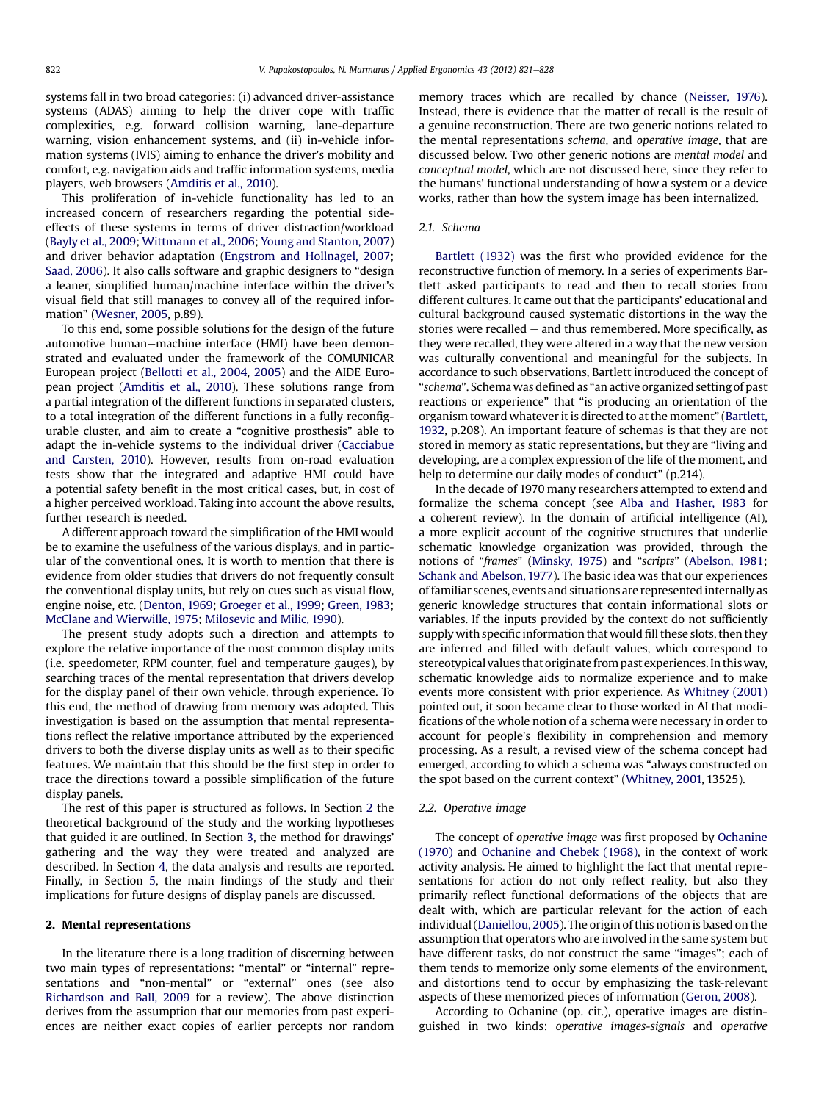systems fall in two broad categories: (i) advanced driver-assistance systems (ADAS) aiming to help the driver cope with traffic complexities, e.g. forward collision warning, lane-departure warning, vision enhancement systems, and (ii) in-vehicle information systems (IVIS) aiming to enhance the driver's mobility and comfort, e.g. navigation aids and traffic information systems, media players, web browsers ([Amditis et al., 2010\)](#page-7-0).

This proliferation of in-vehicle functionality has led to an increased concern of researchers regarding the potential sideeffects of these systems in terms of driver distraction/workload ([Bayly et al., 2009;](#page-7-0) [Wittmann et al., 2006;](#page-7-0) [Young and Stanton, 2007\)](#page-7-0) and driver behavior adaptation ([Engstrom and Hollnagel, 2007](#page-7-0); [Saad, 2006](#page-7-0)). It also calls software and graphic designers to "design a leaner, simplified human/machine interface within the driver's visual field that still manages to convey all of the required information" ([Wesner, 2005,](#page-7-0) p.89).

To this end, some possible solutions for the design of the future automotive human-machine interface (HMI) have been demonstrated and evaluated under the framework of the COMUNICAR European project [\(Bellotti et al., 2004](#page-7-0), [2005](#page-7-0)) and the AIDE European project ([Amditis et al., 2010\)](#page-7-0). These solutions range from a partial integration of the different functions in separated clusters, to a total integration of the different functions in a fully reconfigurable cluster, and aim to create a "cognitive prosthesis" able to adapt the in-vehicle systems to the individual driver [\(Cacciabue](#page-7-0) [and Carsten, 2010](#page-7-0)). However, results from on-road evaluation tests show that the integrated and adaptive HMI could have a potential safety benefit in the most critical cases, but, in cost of a higher perceived workload. Taking into account the above results, further research is needed.

A different approach toward the simplification of the HMI would be to examine the usefulness of the various displays, and in particular of the conventional ones. It is worth to mention that there is evidence from older studies that drivers do not frequently consult the conventional display units, but rely on cues such as visual flow, engine noise, etc. [\(Denton, 1969](#page-7-0); [Groeger et al., 1999](#page-7-0); [Green, 1983](#page-7-0); [McClane and Wierwille, 1975;](#page-7-0) [Milosevic and Milic, 1990\)](#page-7-0).

The present study adopts such a direction and attempts to explore the relative importance of the most common display units (i.e. speedometer, RPM counter, fuel and temperature gauges), by searching traces of the mental representation that drivers develop for the display panel of their own vehicle, through experience. To this end, the method of drawing from memory was adopted. This investigation is based on the assumption that mental representations reflect the relative importance attributed by the experienced drivers to both the diverse display units as well as to their specific features. We maintain that this should be the first step in order to trace the directions toward a possible simplification of the future display panels.

The rest of this paper is structured as follows. In Section 2 the theoretical background of the study and the working hypotheses that guided it are outlined. In Section [3,](#page-2-0) the method for drawings' gathering and the way they were treated and analyzed are described. In Section [4](#page-3-0), the data analysis and results are reported. Finally, in Section [5](#page-6-0), the main findings of the study and their implications for future designs of display panels are discussed.

#### 2. Mental representations

In the literature there is a long tradition of discerning between two main types of representations: "mental" or "internal" representations and "non-mental" or "external" ones (see also [Richardson and Ball, 2009](#page-7-0) for a review). The above distinction derives from the assumption that our memories from past experiences are neither exact copies of earlier percepts nor random memory traces which are recalled by chance [\(Neisser, 1976\)](#page-7-0). Instead, there is evidence that the matter of recall is the result of a genuine reconstruction. There are two generic notions related to the mental representations schema, and operative image, that are discussed below. Two other generic notions are mental model and conceptual model, which are not discussed here, since they refer to the humans' functional understanding of how a system or a device works, rather than how the system image has been internalized.

#### 2.1. Schema

[Bartlett \(1932\)](#page-7-0) was the first who provided evidence for the reconstructive function of memory. In a series of experiments Bartlett asked participants to read and then to recall stories from different cultures. It came out that the participants' educational and cultural background caused systematic distortions in the way the stories were recalled  $-$  and thus remembered. More specifically, as they were recalled, they were altered in a way that the new version was culturally conventional and meaningful for the subjects. In accordance to such observations, Bartlett introduced the concept of "schema". Schemawas defined as "an active organized setting of past reactions or experience" that "is producing an orientation of the organism toward whatever it is directed to at the moment" ([Bartlett,](#page-7-0) [1932](#page-7-0), p.208). An important feature of schemas is that they are not stored in memory as static representations, but they are "living and developing, are a complex expression of the life of the moment, and help to determine our daily modes of conduct" (p.214).

In the decade of 1970 many researchers attempted to extend and formalize the schema concept (see [Alba and Hasher, 1983](#page-7-0) for a coherent review). In the domain of artificial intelligence (AI), a more explicit account of the cognitive structures that underlie schematic knowledge organization was provided, through the notions of "frames" [\(Minsky, 1975](#page-7-0)) and "scripts" [\(Abelson, 1981](#page-7-0); [Schank and Abelson, 1977](#page-7-0)). The basic idea was that our experiences of familiar scenes, events and situations are represented internally as generic knowledge structures that contain informational slots or variables. If the inputs provided by the context do not sufficiently supply with specific information that would fill these slots, then they are inferred and filled with default values, which correspond to stereotypical values that originate from past experiences. In this way, schematic knowledge aids to normalize experience and to make events more consistent with prior experience. As [Whitney \(2001\)](#page-7-0) pointed out, it soon became clear to those worked in AI that modifications of the whole notion of a schema were necessary in order to account for people's flexibility in comprehension and memory processing. As a result, a revised view of the schema concept had emerged, according to which a schema was "always constructed on the spot based on the current context" [\(Whitney, 2001,](#page-7-0) 13525).

### 2.2. Operative image

The concept of operative image was first proposed by [Ochanine](#page-7-0) [\(1970\)](#page-7-0) and [Ochanine and Chebek \(1968\)](#page-7-0), in the context of work activity analysis. He aimed to highlight the fact that mental representations for action do not only reflect reality, but also they primarily reflect functional deformations of the objects that are dealt with, which are particular relevant for the action of each individual [\(Daniellou, 2005](#page-7-0)). The origin of this notion is based on the assumption that operators who are involved in the same system but have different tasks, do not construct the same "images"; each of them tends to memorize only some elements of the environment, and distortions tend to occur by emphasizing the task-relevant aspects of these memorized pieces of information [\(Geron, 2008](#page-7-0)).

According to Ochanine (op. cit.), operative images are distinguished in two kinds: operative images-signals and operative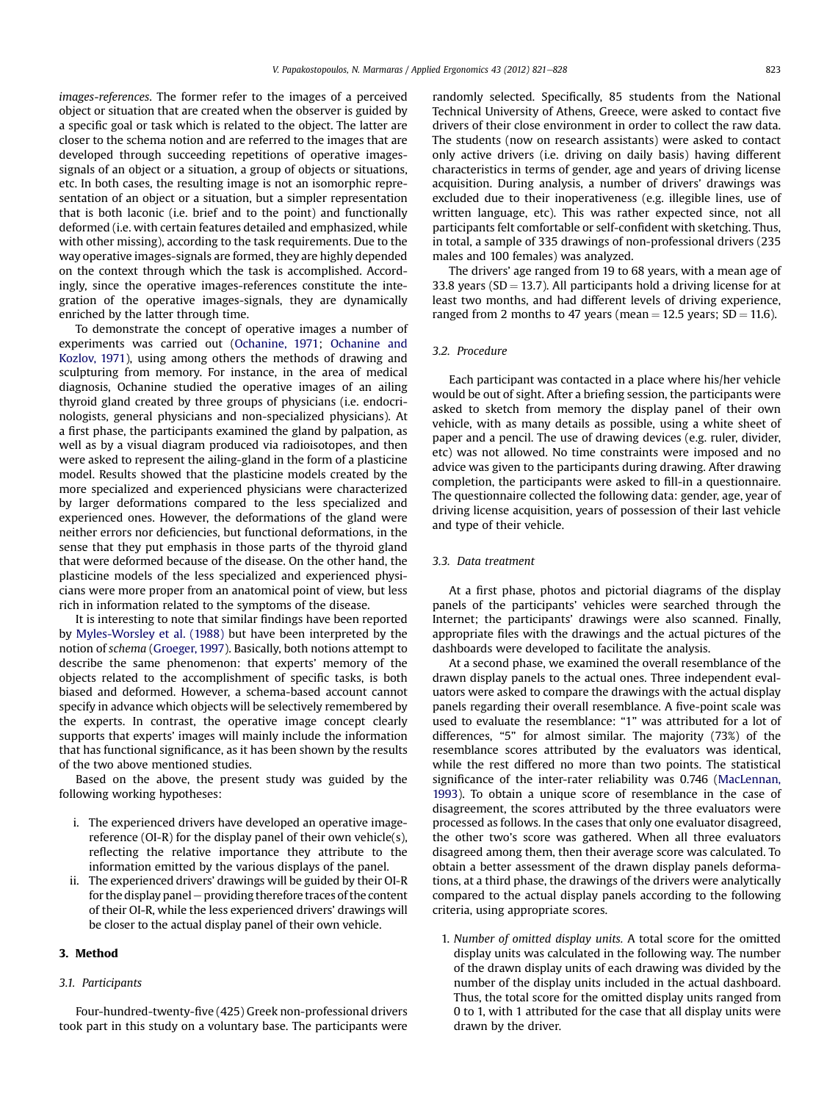<span id="page-2-0"></span>images-references. The former refer to the images of a perceived object or situation that are created when the observer is guided by a specific goal or task which is related to the object. The latter are closer to the schema notion and are referred to the images that are developed through succeeding repetitions of operative imagessignals of an object or a situation, a group of objects or situations, etc. In both cases, the resulting image is not an isomorphic representation of an object or a situation, but a simpler representation that is both laconic (i.e. brief and to the point) and functionally deformed (i.e. with certain features detailed and emphasized, while with other missing), according to the task requirements. Due to the way operative images-signals are formed, they are highly depended on the context through which the task is accomplished. Accordingly, since the operative images-references constitute the integration of the operative images-signals, they are dynamically enriched by the latter through time.

To demonstrate the concept of operative images a number of experiments was carried out [\(Ochanine, 1971;](#page-7-0) [Ochanine and](#page-7-0) [Kozlov, 1971](#page-7-0)), using among others the methods of drawing and sculpturing from memory. For instance, in the area of medical diagnosis, Ochanine studied the operative images of an ailing thyroid gland created by three groups of physicians (i.e. endocrinologists, general physicians and non-specialized physicians). At a first phase, the participants examined the gland by palpation, as well as by a visual diagram produced via radioisotopes, and then were asked to represent the ailing-gland in the form of a plasticine model. Results showed that the plasticine models created by the more specialized and experienced physicians were characterized by larger deformations compared to the less specialized and experienced ones. However, the deformations of the gland were neither errors nor deficiencies, but functional deformations, in the sense that they put emphasis in those parts of the thyroid gland that were deformed because of the disease. On the other hand, the plasticine models of the less specialized and experienced physicians were more proper from an anatomical point of view, but less rich in information related to the symptoms of the disease.

It is interesting to note that similar findings have been reported by [Myles-Worsley et al. \(1988\)](#page-7-0) but have been interpreted by the notion of schema [\(Groeger, 1997\)](#page-7-0). Basically, both notions attempt to describe the same phenomenon: that experts' memory of the objects related to the accomplishment of specific tasks, is both biased and deformed. However, a schema-based account cannot specify in advance which objects will be selectively remembered by the experts. In contrast, the operative image concept clearly supports that experts' images will mainly include the information that has functional significance, as it has been shown by the results of the two above mentioned studies.

Based on the above, the present study was guided by the following working hypotheses:

- i. The experienced drivers have developed an operative imagereference (OI-R) for the display panel of their own vehicle(s), reflecting the relative importance they attribute to the information emitted by the various displays of the panel.
- ii. The experienced drivers' drawings will be guided by their OI-R for the display panel  $-$  providing therefore traces of the content of their OI-R, while the less experienced drivers' drawings will be closer to the actual display panel of their own vehicle.

# 3. Method

# 3.1. Participants

Four-hundred-twenty-five (425) Greek non-professional drivers took part in this study on a voluntary base. The participants were randomly selected. Specifically, 85 students from the National Technical University of Athens, Greece, were asked to contact five drivers of their close environment in order to collect the raw data. The students (now on research assistants) were asked to contact only active drivers (i.e. driving on daily basis) having different characteristics in terms of gender, age and years of driving license acquisition. During analysis, a number of drivers' drawings was excluded due to their inoperativeness (e.g. illegible lines, use of written language, etc). This was rather expected since, not all participants felt comfortable or self-confident with sketching. Thus, in total, a sample of 335 drawings of non-professional drivers (235 males and 100 females) was analyzed.

The drivers' age ranged from 19 to 68 years, with a mean age of 33.8 years ( $SD = 13.7$ ). All participants hold a driving license for at least two months, and had different levels of driving experience, ranged from 2 months to 47 years (mean  $= 12.5$  years; SD  $= 11.6$ ).

#### 3.2. Procedure

Each participant was contacted in a place where his/her vehicle would be out of sight. After a briefing session, the participants were asked to sketch from memory the display panel of their own vehicle, with as many details as possible, using a white sheet of paper and a pencil. The use of drawing devices (e.g. ruler, divider, etc) was not allowed. No time constraints were imposed and no advice was given to the participants during drawing. After drawing completion, the participants were asked to fill-in a questionnaire. The questionnaire collected the following data: gender, age, year of driving license acquisition, years of possession of their last vehicle and type of their vehicle.

## 3.3. Data treatment

At a first phase, photos and pictorial diagrams of the display panels of the participants' vehicles were searched through the Internet; the participants' drawings were also scanned. Finally, appropriate files with the drawings and the actual pictures of the dashboards were developed to facilitate the analysis.

At a second phase, we examined the overall resemblance of the drawn display panels to the actual ones. Three independent evaluators were asked to compare the drawings with the actual display panels regarding their overall resemblance. A five-point scale was used to evaluate the resemblance: "1" was attributed for a lot of differences, "5" for almost similar. The majority (73%) of the resemblance scores attributed by the evaluators was identical, while the rest differed no more than two points. The statistical significance of the inter-rater reliability was 0.746 [\(MacLennan,](#page-7-0) [1993\)](#page-7-0). To obtain a unique score of resemblance in the case of disagreement, the scores attributed by the three evaluators were processed as follows. In the cases that only one evaluator disagreed, the other two's score was gathered. When all three evaluators disagreed among them, then their average score was calculated. To obtain a better assessment of the drawn display panels deformations, at a third phase, the drawings of the drivers were analytically compared to the actual display panels according to the following criteria, using appropriate scores.

1. Number of omitted display units. A total score for the omitted display units was calculated in the following way. The number of the drawn display units of each drawing was divided by the number of the display units included in the actual dashboard. Thus, the total score for the omitted display units ranged from 0 to 1, with 1 attributed for the case that all display units were drawn by the driver.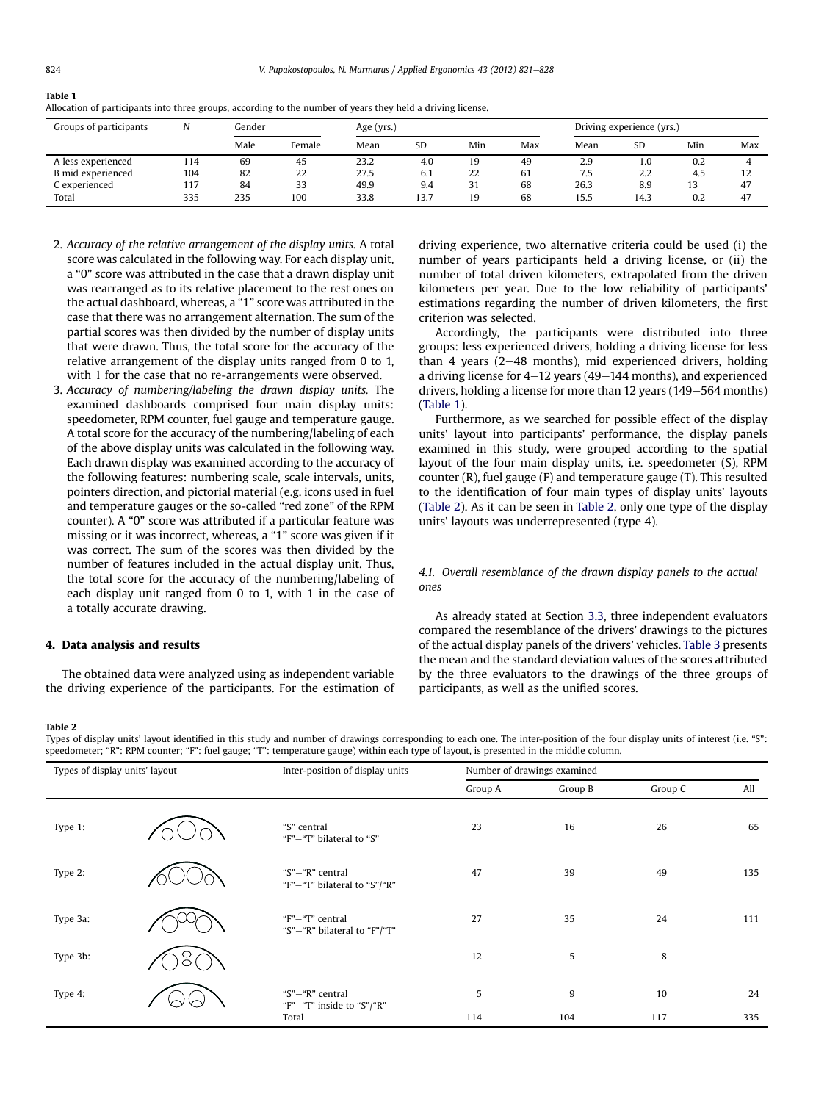### <span id="page-3-0"></span>Table 1

| Groups of participants |     | Gender |        | Age (yrs.) |           |     |     |      | Driving experience (yrs.) |     |     |
|------------------------|-----|--------|--------|------------|-----------|-----|-----|------|---------------------------|-----|-----|
|                        |     | Male   | Female | Mean       | <b>SD</b> | Min | Max | Mean | <b>SD</b>                 | Min | Max |
| A less experienced     | 114 | 69     | 45     | 23.2       | 4.0       | 19  | 49  | 2.9  | 1.0                       | 0.2 |     |
| B mid experienced      | 104 | 82     | 22     | 27.5       | 6.1       | 22  | 61  | 7.5  | 2.2                       | 4.5 | 12  |
| C experienced          | 117 | 84     | 33     | 49.9       | 9.4       | 31  | 68  | 26.3 | 8.9                       | 13  | 47  |
| Total                  | 335 | 235    | 100    | 33.8       | 13.7      | 19  | 68  | 15.5 | 14.3                      | 0.2 | 47  |

- 2. Accuracy of the relative arrangement of the display units. A total score was calculated in the following way. For each display unit, a "0" score was attributed in the case that a drawn display unit was rearranged as to its relative placement to the rest ones on the actual dashboard, whereas, a "1" score was attributed in the case that there was no arrangement alternation. The sum of the partial scores was then divided by the number of display units that were drawn. Thus, the total score for the accuracy of the relative arrangement of the display units ranged from 0 to 1, with 1 for the case that no re-arrangements were observed.
- 3. Accuracy of numbering/labeling the drawn display units. The examined dashboards comprised four main display units: speedometer, RPM counter, fuel gauge and temperature gauge. A total score for the accuracy of the numbering/labeling of each of the above display units was calculated in the following way. Each drawn display was examined according to the accuracy of the following features: numbering scale, scale intervals, units, pointers direction, and pictorial material (e.g. icons used in fuel and temperature gauges or the so-called "red zone" of the RPM counter). A "0" score was attributed if a particular feature was missing or it was incorrect, whereas, a "1" score was given if it was correct. The sum of the scores was then divided by the number of features included in the actual display unit. Thus, the total score for the accuracy of the numbering/labeling of each display unit ranged from 0 to 1, with 1 in the case of a totally accurate drawing.

# 4. Data analysis and results

The obtained data were analyzed using as independent variable the driving experience of the participants. For the estimation of driving experience, two alternative criteria could be used (i) the number of years participants held a driving license, or (ii) the number of total driven kilometers, extrapolated from the driven kilometers per year. Due to the low reliability of participants' estimations regarding the number of driven kilometers, the first criterion was selected.

Accordingly, the participants were distributed into three groups: less experienced drivers, holding a driving license for less than 4 years  $(2-48$  months), mid experienced drivers, holding a driving license for  $4-12$  years ( $49-144$  months), and experienced drivers, holding a license for more than 12 years (149-564 months) (Table 1).

Furthermore, as we searched for possible effect of the display units' layout into participants' performance, the display panels examined in this study, were grouped according to the spatial layout of the four main display units, i.e. speedometer (S), RPM counter (R), fuel gauge (F) and temperature gauge (T). This resulted to the identification of four main types of display units' layouts (Table 2). As it can be seen in Table 2, only one type of the display units' layouts was underrepresented (type 4).

# 4.1. Overall resemblance of the drawn display panels to the actual ones

As already stated at Section [3.3](#page-2-0), three independent evaluators compared the resemblance of the drivers' drawings to the pictures of the actual display panels of the drivers' vehicles. [Table 3](#page-4-0) presents the mean and the standard deviation values of the scores attributed by the three evaluators to the drawings of the three groups of participants, as well as the unified scores.

#### Table 2

Types of display units' layout identified in this study and number of drawings corresponding to each one. The inter-position of the four display units of interest (i.e. "S": speedometer; "R": RPM counter; "F": fuel gauge; "T": temperature gauge) within each type of layout, is presented in the middle column.

| Types of display units' layout |  | Inter-position of display units                 | Number of drawings examined |         |         |     |  |  |
|--------------------------------|--|-------------------------------------------------|-----------------------------|---------|---------|-----|--|--|
|                                |  |                                                 | Group A                     | Group B | Group C | All |  |  |
| Type 1:                        |  | "S" central<br>"F"-"T" bilateral to "S"         | 23                          | 16      | 26      | 65  |  |  |
| Type 2:                        |  | "S"-"R" central<br>"F"-"T" bilateral to "S"/"R" | 47                          | 39      | 49      | 135 |  |  |
| Type 3a:                       |  | "F"-"T" central<br>"S"-"R" bilateral to "F"/"T" | 27                          | 35      | 24      | 111 |  |  |
| Type 3b:                       |  |                                                 | 12                          | 5       | 8       |     |  |  |
| Type 4:                        |  | "S"-"R" central<br>"F"-"T" inside to "S"/"R"    | 5                           | 9       | 10      | 24  |  |  |
|                                |  | Total                                           | 114                         | 104     | 117     | 335 |  |  |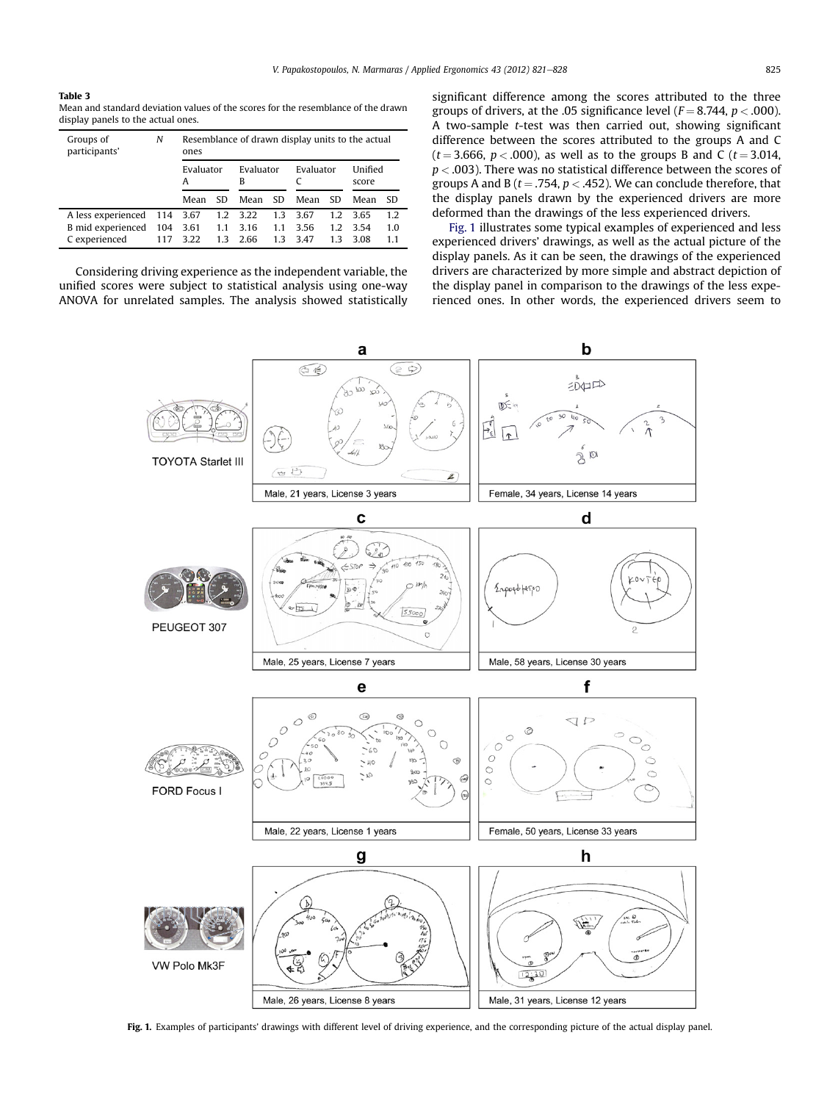#### <span id="page-4-0"></span>Table 3 Mean and standard deviation values of the scores for the resemblance of the drawn display panels to the actual ones.

| Groups of<br>participants'  | Ν   | Resemblance of drawn display units to the actual<br>ones |      |                |      |           |     |                         |     |  |
|-----------------------------|-----|----------------------------------------------------------|------|----------------|------|-----------|-----|-------------------------|-----|--|
|                             |     | Evaluator<br>А                                           |      | Evaluator<br>в |      | Evaluator |     | <b>Unified</b><br>score |     |  |
|                             |     |                                                          |      |                |      |           |     |                         |     |  |
|                             |     |                                                          |      |                |      |           |     |                         |     |  |
|                             |     | Mean                                                     | -SD. | Mean           | - SD | Mean SD   |     | Mean                    | -SD |  |
| A less experienced 114 3.67 |     |                                                          |      | 1.2 3.22       |      | 1.3 3.67  |     | 1.2 3.65                | 1.2 |  |
| B mid experienced 104 3.61  |     |                                                          | 1.1  | - 3.16         | 1.1  | 3.56      | 1.2 | - 3.54                  | 1.0 |  |
| C experienced               | 117 | 3.22                                                     | 1.3  | - 2.66         | 1.3  | - 3.47    | 1.3 | 3.08                    | 1.1 |  |

Considering driving experience as the independent variable, the unified scores were subject to statistical analysis using one-way ANOVA for unrelated samples. The analysis showed statistically significant difference among the scores attributed to the three groups of drivers, at the .05 significance level  $(F = 8.744, p < .000)$ . A two-sample t-test was then carried out, showing significant difference between the scores attributed to the groups A and C  $(t = 3.666, p < .000)$ , as well as to the groups B and C ( $t = 3.014$ ,  $p < .003$ ). There was no statistical difference between the scores of groups A and B ( $t = .754$ ,  $p < .452$ ). We can conclude therefore, that the display panels drawn by the experienced drivers are more deformed than the drawings of the less experienced drivers.

Fig. 1 illustrates some typical examples of experienced and less experienced drivers' drawings, as well as the actual picture of the display panels. As it can be seen, the drawings of the experienced drivers are characterized by more simple and abstract depiction of the display panel in comparison to the drawings of the less experienced ones. In other words, the experienced drivers seem to



Fig. 1. Examples of participants' drawings with different level of driving experience, and the corresponding picture of the actual display panel.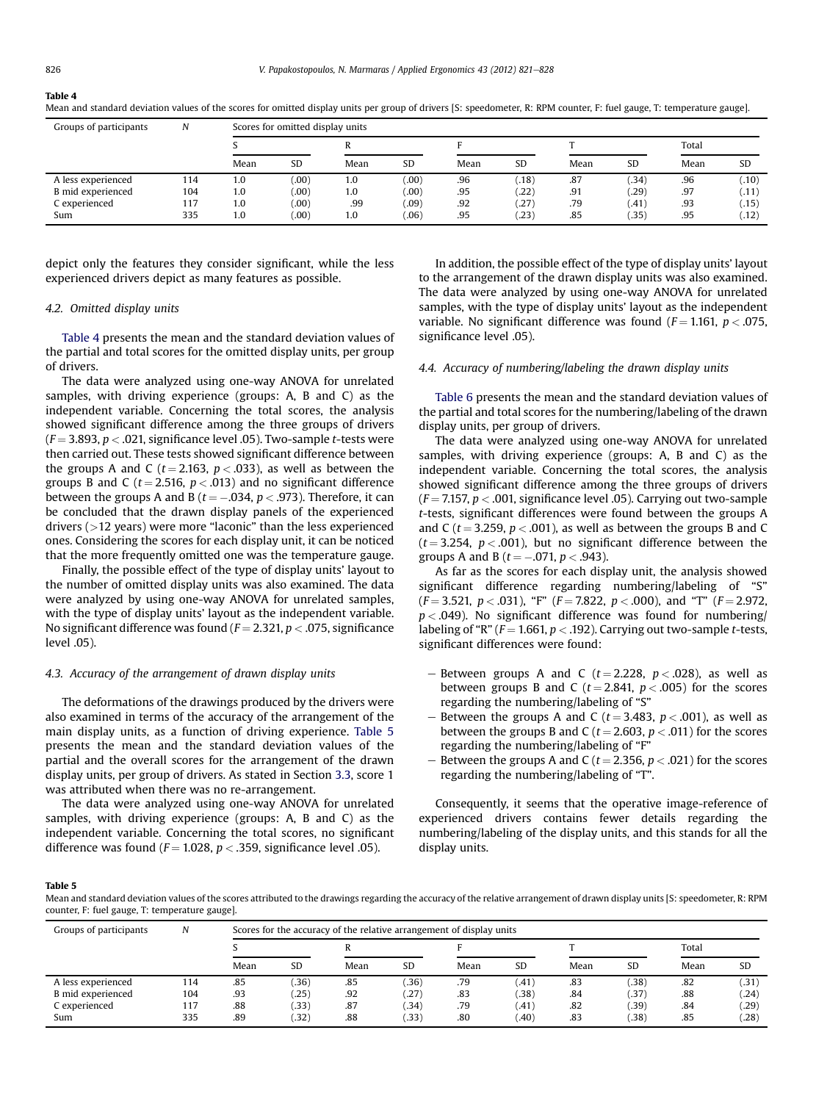#### Table 4

Mean and standard deviation values of the scores for omitted display units per group of drivers [S: speedometer, R: RPM counter, F: fuel gauge, T: temperature gauge].

| Groups of participants | N   |      | Scores for omitted display units |      |                  |      |                   |      |               |       |                             |
|------------------------|-----|------|----------------------------------|------|------------------|------|-------------------|------|---------------|-------|-----------------------------|
|                        |     |      |                                  |      |                  |      |                   |      |               | Total |                             |
|                        |     | Mean | SD                               | Mean | <b>SD</b>        | Mean | SD                | Mean | <b>SD</b>     | Mean  | SD                          |
| A less experienced     | 114 | 1.0  | 00                               | 1.0  | .00)             | .96  | (.18)             | .87  | .34)          | .96   | (10)                        |
| B mid experienced      | 104 | 1.0  | 00                               | 1.0  | .00 <sub>1</sub> | .95  | (22)              | .91  | $.29^{\circ}$ | .97   | $^{\prime}$ .11 $^{\prime}$ |
| C experienced          | 117 | 1.0  | (00)                             | .99  | .09 <sup>1</sup> | .92  | .27               | .79  | (.41)         | .93   | .15)                        |
| Sum                    | 335 | 1.0  | 00                               | 1.0  | .06)             | .95  | $\left(23\right)$ | .85  | .35'          | .95   | .12)                        |

depict only the features they consider significant, while the less experienced drivers depict as many features as possible.

#### 4.2. Omitted display units

Table 4 presents the mean and the standard deviation values of the partial and total scores for the omitted display units, per group of drivers.

The data were analyzed using one-way ANOVA for unrelated samples, with driving experience (groups: A, B and C) as the independent variable. Concerning the total scores, the analysis showed significant difference among the three groups of drivers  $(F = 3.893, p < .021$ , significance level .05). Two-sample *t*-tests were then carried out. These tests showed significant difference between the groups A and C ( $t = 2.163$ ,  $p < .033$ ), as well as between the groups B and C ( $t = 2.516$ ,  $p < .013$ ) and no significant difference between the groups A and B ( $t = -.034$ ,  $p < .973$ ). Therefore, it can be concluded that the drawn display panels of the experienced drivers (>12 years) were more "laconic" than the less experienced ones. Considering the scores for each display unit, it can be noticed that the more frequently omitted one was the temperature gauge.

Finally, the possible effect of the type of display units' layout to the number of omitted display units was also examined. The data were analyzed by using one-way ANOVA for unrelated samples, with the type of display units' layout as the independent variable. No significant difference was found ( $F = 2.321$ ,  $p < .075$ , significance level .05).

#### 4.3. Accuracy of the arrangement of drawn display units

The deformations of the drawings produced by the drivers were also examined in terms of the accuracy of the arrangement of the main display units, as a function of driving experience. Table 5 presents the mean and the standard deviation values of the partial and the overall scores for the arrangement of the drawn display units, per group of drivers. As stated in Section [3.3,](#page-2-0) score 1 was attributed when there was no re-arrangement.

The data were analyzed using one-way ANOVA for unrelated samples, with driving experience (groups: A, B and C) as the independent variable. Concerning the total scores, no significant difference was found ( $F = 1.028$ ,  $p < .359$ , significance level .05).

In addition, the possible effect of the type of display units' layout to the arrangement of the drawn display units was also examined. The data were analyzed by using one-way ANOVA for unrelated samples, with the type of display units' layout as the independent variable. No significant difference was found  $(F = 1.161, p < .075,$ significance level .05).

# 4.4. Accuracy of numbering/labeling the drawn display units

[Table 6](#page-6-0) presents the mean and the standard deviation values of the partial and total scores for the numbering/labeling of the drawn display units, per group of drivers.

The data were analyzed using one-way ANOVA for unrelated samples, with driving experience (groups: A, B and C) as the independent variable. Concerning the total scores, the analysis showed significant difference among the three groups of drivers  $(F = 7.157, p < .001$ , significance level .05). Carrying out two-sample t-tests, significant differences were found between the groups A and C ( $t = 3.259$ ,  $p < .001$ ), as well as between the groups B and C  $(t = 3.254, p < .001)$ , but no significant difference between the groups A and B ( $t = -.071, p < .943$ ).

As far as the scores for each display unit, the analysis showed significant difference regarding numbering/labeling of "S"  $(F = 3.521, p < .031)$ , "F"  $(F = 7.822, p < .000)$ , and "T"  $(F = 2.972,$  $p < .049$ ). No significant difference was found for numbering/ labeling of "R" ( $F = 1.661$ ,  $p < .192$ ). Carrying out two-sample *t*-tests, significant differences were found:

- Between groups A and C ( $t = 2.228$ ,  $p < .028$ ), as well as between groups B and C ( $t = 2.841$ ,  $p < .005$ ) for the scores regarding the numbering/labeling of "S"
- Between the groups A and C ( $t = 3.483$ ,  $p < .001$ ), as well as between the groups B and C ( $t = 2.603$ ,  $p < .011$ ) for the scores regarding the numbering/labeling of "F"
- Between the groups A and C ( $t = 2.356$ ,  $p < .021$ ) for the scores regarding the numbering/labeling of "T".

Consequently, it seems that the operative image-reference of experienced drivers contains fewer details regarding the numbering/labeling of the display units, and this stands for all the display units.

#### Table 5

Mean and standard deviation values of the scores attributed to the drawings regarding the accuracy of the relative arrangement of drawn display units [S: speedometer, R: RPM counter, F: fuel gauge, T: temperature gauge].

| Groups of participants | N   |      | Scores for the accuracy of the relative arrangement of display units |      |           |      |                  |      |           |       |                             |
|------------------------|-----|------|----------------------------------------------------------------------|------|-----------|------|------------------|------|-----------|-------|-----------------------------|
|                        |     |      |                                                                      |      |           |      |                  |      |           | Total |                             |
|                        |     | Mean | SD                                                                   | Mean | <b>SD</b> | Mean | SD               | Mean | <b>SD</b> | Mean  | <b>SD</b>                   |
| A less experienced     | 114 | .85  | $^{\prime}$ .36                                                      | .85  | (36)      | .79  | (41)             | .83  | .38'      | .82   | $^{\prime}$ .31 $^{\prime}$ |
| B mid experienced      | 104 | .93  | 25                                                                   | .92  | 27        | .83  | .38 <sup>°</sup> | .84  | .37       | .88   | $.24^\circ$                 |
| C experienced          | 117 | .88  | $^{\prime}$ .33                                                      | .87  | .34)      | .79  | (41)             | .82  | .39)      | .84   | $.29^{\circ}$               |
| Sum                    | 335 | .89  | $^{\prime}32$                                                        | .88  | .33)      | .80  | .40 <sup>°</sup> | .83  | .38)      | .85   | $28^{\circ}$                |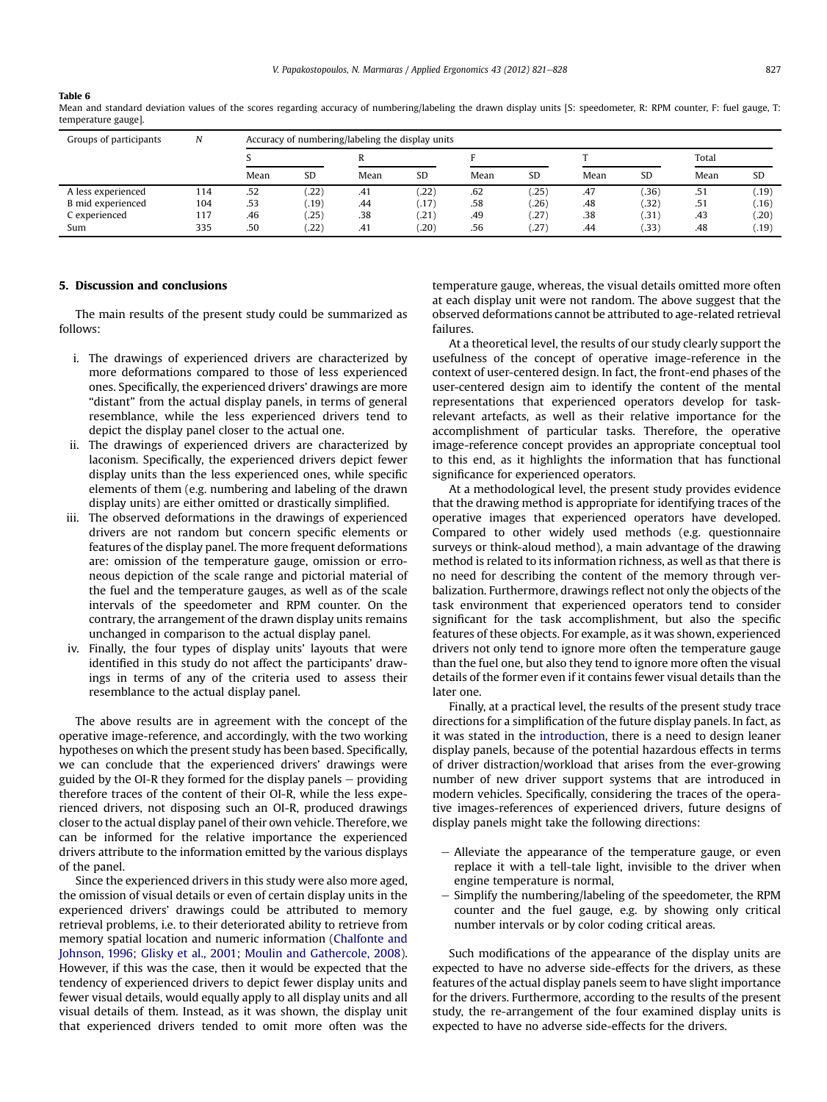#### <span id="page-6-0"></span>Table 6

Mean and standard deviation values of the scores regarding accuracy of numbering/labeling the drawn display units [S: speedometer, R: RPM counter, F: fuel gauge, T: temperature gauge].

| Groups of participants | $\overline{N}$ |      |           | Accuracy of numbering/labeling the display units |           |      |           |      |           |       |                 |
|------------------------|----------------|------|-----------|--------------------------------------------------|-----------|------|-----------|------|-----------|-------|-----------------|
|                        |                |      |           |                                                  |           |      |           |      |           | Total |                 |
|                        |                | Mean | <b>SD</b> | Mean                                             | <b>SD</b> | Mean | <b>SD</b> | Mean | <b>SD</b> | Mean  | <b>SD</b>       |
| A less experienced     | 114            | .52  | (22)      | .41                                              | .22)      | .62  | (25)      | .47  | (36)      | .51   | .19)            |
| B mid experienced      | 104            | .53  | (0.19)    | .44                                              | (17)      | .58  | (26)      | .48  | 32)       | .51   | $^{\prime}$ .16 |
| C experienced          | 117            | .46  | (25)      | .38                                              | (21)      | .49  | (27)      | .38  | .31'      | .43   | $^{\prime}$ .20 |
| Sum                    | 335            | .50  | .22)      | .41                                              | .20)      | .56  | (27)      | .44  | .33)      | .48   | .19)            |

## 5. Discussion and conclusions

The main results of the present study could be summarized as follows:

- i. The drawings of experienced drivers are characterized by more deformations compared to those of less experienced ones. Specifically, the experienced drivers' drawings are more "distant" from the actual display panels, in terms of general resemblance, while the less experienced drivers tend to depict the display panel closer to the actual one.
- ii. The drawings of experienced drivers are characterized by laconism. Specifically, the experienced drivers depict fewer display units than the less experienced ones, while specific elements of them (e.g. numbering and labeling of the drawn display units) are either omitted or drastically simplified.
- iii. The observed deformations in the drawings of experienced drivers are not random but concern specific elements or features of the display panel. The more frequent deformations are: omission of the temperature gauge, omission or erroneous depiction of the scale range and pictorial material of the fuel and the temperature gauges, as well as of the scale intervals of the speedometer and RPM counter. On the contrary, the arrangement of the drawn display units remains unchanged in comparison to the actual display panel.
- iv. Finally, the four types of display units' layouts that were identified in this study do not affect the participants' drawings in terms of any of the criteria used to assess their resemblance to the actual display panel.

The above results are in agreement with the concept of the operative image-reference, and accordingly, with the two working hypotheses on which the present study has been based. Specifically, we can conclude that the experienced drivers' drawings were guided by the OI-R they formed for the display panels  $-$  providing therefore traces of the content of their OI-R, while the less experienced drivers, not disposing such an OI-R, produced drawings closer to the actual display panel of their own vehicle. Therefore, we can be informed for the relative importance the experienced drivers attribute to the information emitted by the various displays of the panel.

Since the experienced drivers in this study were also more aged, the omission of visual details or even of certain display units in the experienced drivers' drawings could be attributed to memory retrieval problems, i.e. to their deteriorated ability to retrieve from memory spatial location and numeric information [\(Chalfonte and](#page-7-0) [Johnson, 1996;](#page-7-0) [Glisky et al., 2001;](#page-7-0) [Moulin and Gathercole, 2008\)](#page-7-0). However, if this was the case, then it would be expected that the tendency of experienced drivers to depict fewer display units and fewer visual details, would equally apply to all display units and all visual details of them. Instead, as it was shown, the display unit that experienced drivers tended to omit more often was the temperature gauge, whereas, the visual details omitted more often at each display unit were not random. The above suggest that the observed deformations cannot be attributed to age-related retrieval failures.

At a theoretical level, the results of our study clearly support the usefulness of the concept of operative image-reference in the context of user-centered design. In fact, the front-end phases of the user-centered design aim to identify the content of the mental representations that experienced operators develop for taskrelevant artefacts, as well as their relative importance for the accomplishment of particular tasks. Therefore, the operative image-reference concept provides an appropriate conceptual tool to this end, as it highlights the information that has functional significance for experienced operators.

At a methodological level, the present study provides evidence that the drawing method is appropriate for identifying traces of the operative images that experienced operators have developed. Compared to other widely used methods (e.g. questionnaire surveys or think-aloud method), a main advantage of the drawing method is related to its information richness, as well as that there is no need for describing the content of the memory through verbalization. Furthermore, drawings reflect not only the objects of the task environment that experienced operators tend to consider significant for the task accomplishment, but also the specific features of these objects. For example, as it was shown, experienced drivers not only tend to ignore more often the temperature gauge than the fuel one, but also they tend to ignore more often the visual details of the former even if it contains fewer visual details than the later one.

Finally, at a practical level, the results of the present study trace directions for a simplification of the future display panels. In fact, as it was stated in the [introduction,](#page-0-0) there is a need to design leaner display panels, because of the potential hazardous effects in terms of driver distraction/workload that arises from the ever-growing number of new driver support systems that are introduced in modern vehicles. Specifically, considering the traces of the operative images-references of experienced drivers, future designs of display panels might take the following directions:

- $-$  Alleviate the appearance of the temperature gauge, or even replace it with a tell-tale light, invisible to the driver when engine temperature is normal,
- $-$  Simplify the numbering/labeling of the speedometer, the RPM counter and the fuel gauge, e.g. by showing only critical number intervals or by color coding critical areas.

Such modifications of the appearance of the display units are expected to have no adverse side-effects for the drivers, as these features of the actual display panels seem to have slight importance for the drivers. Furthermore, according to the results of the present study, the re-arrangement of the four examined display units is expected to have no adverse side-effects for the drivers.